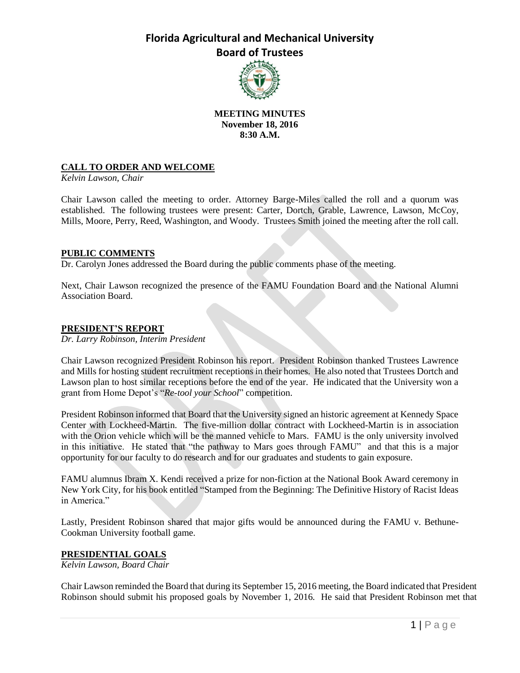

### **MEETING MINUTES November 18, 2016 8:30 A.M.**

### **CALL TO ORDER AND WELCOME**

*Kelvin Lawson, Chair*

Chair Lawson called the meeting to order. Attorney Barge-Miles called the roll and a quorum was established. The following trustees were present: Carter, Dortch, Grable, Lawrence, Lawson, McCoy, Mills, Moore, Perry, Reed, Washington, and Woody. Trustees Smith joined the meeting after the roll call.

### **PUBLIC COMMENTS**

Dr. Carolyn Jones addressed the Board during the public comments phase of the meeting.

Next, Chair Lawson recognized the presence of the FAMU Foundation Board and the National Alumni Association Board.

#### **PRESIDENT'S REPORT**

*Dr. Larry Robinson, Interim President*

Chair Lawson recognized President Robinson his report. President Robinson thanked Trustees Lawrence and Mills for hosting student recruitment receptions in their homes. He also noted that Trustees Dortch and Lawson plan to host similar receptions before the end of the year. He indicated that the University won a grant from Home Depot's "*Re-tool your School*" competition.

President Robinson informed that Board that the University signed an historic agreement at Kennedy Space Center with Lockheed-Martin. The five-million dollar contract with Lockheed-Martin is in association with the Orion vehicle which will be the manned vehicle to Mars. FAMU is the only university involved in this initiative. He stated that "the pathway to Mars goes through FAMU" and that this is a major opportunity for our faculty to do research and for our graduates and students to gain exposure.

FAMU alumnus Ibram X. Kendi received a prize for non-fiction at the National Book Award ceremony in New York City, for his book entitled "Stamped from the Beginning: The Definitive History of Racist Ideas in America."

Lastly, President Robinson shared that major gifts would be announced during the FAMU v. Bethune-Cookman University football game.

### **PRESIDENTIAL GOALS**

*Kelvin Lawson, Board Chair*

Chair Lawson reminded the Board that during its September 15, 2016 meeting, the Board indicated that President Robinson should submit his proposed goals by November 1, 2016. He said that President Robinson met that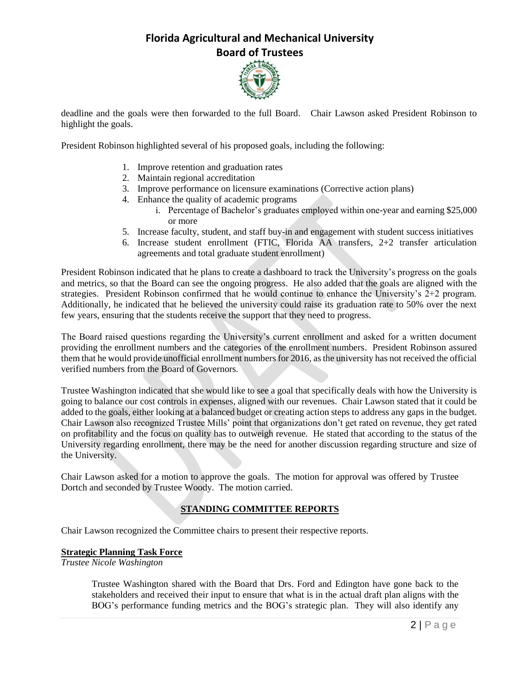

deadline and the goals were then forwarded to the full Board. Chair Lawson asked President Robinson to highlight the goals.

President Robinson highlighted several of his proposed goals, including the following:

- 1. Improve retention and graduation rates
- 2. Maintain regional accreditation
- 3. Improve performance on licensure examinations (Corrective action plans)
- 4. Enhance the quality of academic programs
	- i. Percentage of Bachelor's graduates employed within one-year and earning \$25,000 or more
- 5. Increase faculty, student, and staff buy-in and engagement with student success initiatives
- 6. Increase student enrollment (FTIC, Florida AA transfers, 2+2 transfer articulation agreements and total graduate student enrollment)

President Robinson indicated that he plans to create a dashboard to track the University's progress on the goals and metrics, so that the Board can see the ongoing progress. He also added that the goals are aligned with the strategies. President Robinson confirmed that he would continue to enhance the University's 2+2 program. Additionally, he indicated that he believed the university could raise its graduation rate to 50% over the next few years, ensuring that the students receive the support that they need to progress.

The Board raised questions regarding the University's current enrollment and asked for a written document providing the enrollment numbers and the categories of the enrollment numbers. President Robinson assured them that he would provide unofficial enrollment numbers for 2016, as the university has not received the official verified numbers from the Board of Governors.

Trustee Washington indicated that she would like to see a goal that specifically deals with how the University is going to balance our cost controls in expenses, aligned with our revenues. Chair Lawson stated that it could be added to the goals, either looking at a balanced budget or creating action steps to address any gaps in the budget. Chair Lawson also recognized Trustee Mills' point that organizations don't get rated on revenue, they get rated on profitability and the focus on quality has to outweigh revenue. He stated that according to the status of the University regarding enrollment, there may be the need for another discussion regarding structure and size of the University.

Chair Lawson asked for a motion to approve the goals. The motion for approval was offered by Trustee Dortch and seconded by Trustee Woody. The motion carried.

### **STANDING COMMITTEE REPORTS**

Chair Lawson recognized the Committee chairs to present their respective reports.

### **Strategic Planning Task Force**

*Trustee Nicole Washington*

Trustee Washington shared with the Board that Drs. Ford and Edington have gone back to the stakeholders and received their input to ensure that what is in the actual draft plan aligns with the BOG's performance funding metrics and the BOG's strategic plan. They will also identify any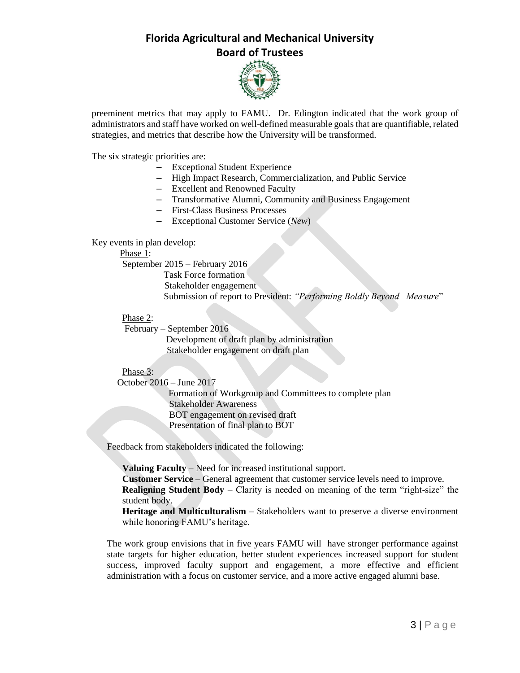

preeminent metrics that may apply to FAMU. Dr. Edington indicated that the work group of administrators and staff have worked on well-defined measurable goalsthat are quantifiable, related strategies, and metrics that describe how the University will be transformed.

The six strategic priorities are:

- Exceptional Student Experience
- High Impact Research, Commercialization, and Public Service
- Excellent and Renowned Faculty
- Transformative Alumni, Community and Business Engagement
- First-Class Business Processes
- Exceptional Customer Service (*New*)

Key events in plan develop:

#### Phase 1:

September 2015 – February 2016

 Task Force formation Stakeholder engagement Submission of report to President: *"Performing Boldly Beyond Measure*"

### Phase 2:

February – September 2016 Development of draft plan by administration Stakeholder engagement on draft plan

### Phase 3:

October 2016 – June 2017

 Formation of Workgroup and Committees to complete plan Stakeholder Awareness BOT engagement on revised draft Presentation of final plan to BOT

Feedback from stakeholders indicated the following:

**Valuing Faculty** – Need for increased institutional support. **Customer Service** – General agreement that customer service levels need to improve.

**Realigning Student Body** – Clarity is needed on meaning of the term "right-size" the student body.

**Heritage and Multiculturalism** – Stakeholders want to preserve a diverse environment while honoring FAMU's heritage.

The work group envisions that in five years FAMU will have stronger performance against state targets for higher education, better student experiences increased support for student success, improved faculty support and engagement, a more effective and efficient administration with a focus on customer service, and a more active engaged alumni base.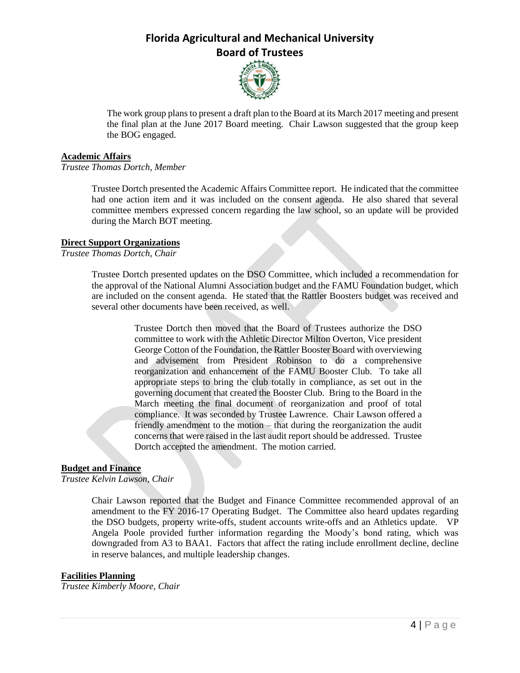

The work group plans to present a draft plan to the Board at its March 2017 meeting and present the final plan at the June 2017 Board meeting. Chair Lawson suggested that the group keep the BOG engaged.

#### **Academic Affairs**

*Trustee Thomas Dortch, Member*

Trustee Dortch presented the Academic Affairs Committee report. He indicated that the committee had one action item and it was included on the consent agenda. He also shared that several committee members expressed concern regarding the law school, so an update will be provided during the March BOT meeting.

### **Direct Support Organizations**

*Trustee Thomas Dortch, Chair*

Trustee Dortch presented updates on the DSO Committee, which included a recommendation for the approval of the National Alumni Association budget and the FAMU Foundation budget, which are included on the consent agenda. He stated that the Rattler Boosters budget was received and several other documents have been received, as well.

> Trustee Dortch then moved that the Board of Trustees authorize the DSO committee to work with the Athletic Director Milton Overton, Vice president George Cotton of the Foundation, the Rattler Booster Board with overviewing and advisement from President Robinson to do a comprehensive reorganization and enhancement of the FAMU Booster Club. To take all appropriate steps to bring the club totally in compliance, as set out in the governing document that created the Booster Club. Bring to the Board in the March meeting the final document of reorganization and proof of total compliance. It was seconded by Trustee Lawrence. Chair Lawson offered a friendly amendment to the motion – that during the reorganization the audit concerns that were raised in the last audit report should be addressed. Trustee Dortch accepted the amendment. The motion carried.

### **Budget and Finance**

*Trustee Kelvin Lawson, Chair*

Chair Lawson reported that the Budget and Finance Committee recommended approval of an amendment to the FY 2016-17 Operating Budget. The Committee also heard updates regarding the DSO budgets, property write-offs, student accounts write-offs and an Athletics update. VP Angela Poole provided further information regarding the Moody's bond rating, which was downgraded from A3 to BAA1. Factors that affect the rating include enrollment decline, decline in reserve balances, and multiple leadership changes.

### **Facilities Planning**

*Trustee Kimberly Moore, Chair*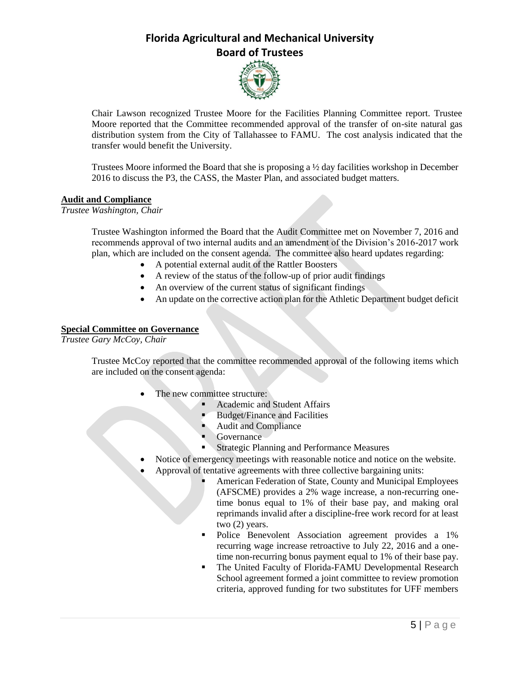

Chair Lawson recognized Trustee Moore for the Facilities Planning Committee report. Trustee Moore reported that the Committee recommended approval of the transfer of on-site natural gas distribution system from the City of Tallahassee to FAMU. The cost analysis indicated that the transfer would benefit the University.

Trustees Moore informed the Board that she is proposing a  $\frac{1}{2}$  day facilities workshop in December 2016 to discuss the P3, the CASS, the Master Plan, and associated budget matters.

### **Audit and Compliance**

*Trustee Washington, Chair*

Trustee Washington informed the Board that the Audit Committee met on November 7, 2016 and recommends approval of two internal audits and an amendment of the Division's 2016-2017 work plan, which are included on the consent agenda. The committee also heard updates regarding:

- A potential external audit of the Rattler Boosters
- A review of the status of the follow-up of prior audit findings
- An overview of the current status of significant findings
- An update on the corrective action plan for the Athletic Department budget deficit

### **Special Committee on Governance**

*Trustee Gary McCoy, Chair*

Trustee McCoy reported that the committee recommended approval of the following items which are included on the consent agenda:

- The new committee structure:
	- Academic and Student Affairs
	- Budget/Finance and Facilities
	- Audit and Compliance
	- Governance
	- **Strategic Planning and Performance Measures**
- Notice of emergency meetings with reasonable notice and notice on the website.
- Approval of tentative agreements with three collective bargaining units:
	- American Federation of State, County and Municipal Employees (AFSCME) provides a 2% wage increase, a non-recurring onetime bonus equal to 1% of their base pay, and making oral reprimands invalid after a discipline-free work record for at least two (2) years.
	- Police Benevolent Association agreement provides a 1% recurring wage increase retroactive to July 22, 2016 and a onetime non-recurring bonus payment equal to 1% of their base pay.
	- The United Faculty of Florida-FAMU Developmental Research School agreement formed a joint committee to review promotion criteria, approved funding for two substitutes for UFF members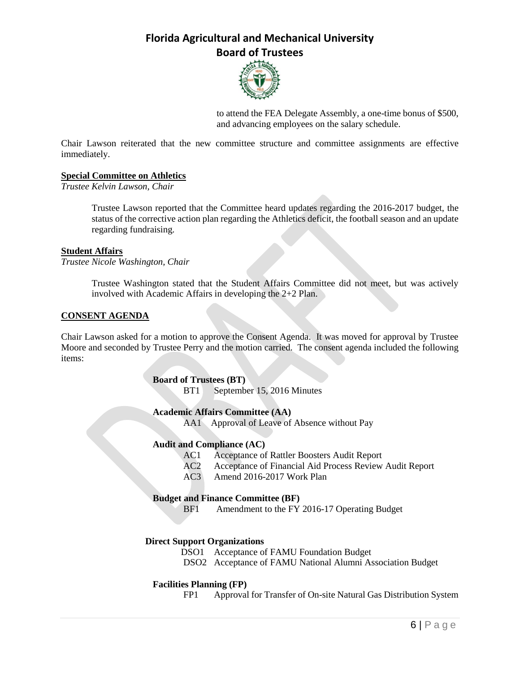

to attend the FEA Delegate Assembly, a one-time bonus of \$500, and advancing employees on the salary schedule.

Chair Lawson reiterated that the new committee structure and committee assignments are effective immediately.

### **Special Committee on Athletics**

*Trustee Kelvin Lawson, Chair*

Trustee Lawson reported that the Committee heard updates regarding the 2016-2017 budget, the status of the corrective action plan regarding the Athletics deficit, the football season and an update regarding fundraising.

#### **Student Affairs**

*Trustee Nicole Washington, Chair*

Trustee Washington stated that the Student Affairs Committee did not meet, but was actively involved with Academic Affairs in developing the 2+2 Plan.

### **CONSENT AGENDA**

Chair Lawson asked for a motion to approve the Consent Agenda. It was moved for approval by Trustee Moore and seconded by Trustee Perry and the motion carried. The consent agenda included the following items:

### **Board of Trustees (BT)**

BT1 September 15, 2016 Minutes

#### **Academic Affairs Committee (AA)**

AA1 Approval of Leave of Absence without Pay

### **Audit and Compliance (AC)**

- AC1 Acceptance of Rattler Boosters Audit Report
- AC2 Acceptance of Financial Aid Process Review Audit Report
- AC3 Amend 2016-2017 Work Plan

### **Budget and Finance Committee (BF)**

BF1 Amendment to the FY 2016-17 Operating Budget

### **Direct Support Organizations**

- DSO1 Acceptance of FAMU Foundation Budget
- DSO2 Acceptance of FAMU National Alumni Association Budget

#### **Facilities Planning (FP)**

FP1 Approval for Transfer of On-site Natural Gas Distribution System